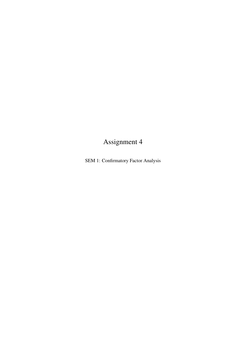# Assignment 4

SEM 1: Confirmatory Factor Analysis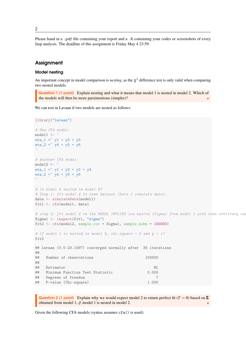Please hand in a .pdf file containing your report and a .R containing your codes or screenshots of every Jasp analysis. The deadline of this assignment is Friday May 4 23:59.

# **Assignment**

### Model nesting

An important concept in model comparison is *nesting*, as the  $\chi^2$  difference test is only valid when comparing two nested models.

Question 1 (1 point) Explain nesting and what it means that model 1 is nested in model 2. Which of the models will then be more parsimonious (simpler)?

We can test in Lavaan if two models are nested as follows:

```
library("lavaan")
# One CFA model:
model1 < -'
eta_1 = \gamma_1 + y_2 + y_3eta_2 = \gamma q + \gamma 5 + \gamma 6# Another CFA model:
model2 <- '
eta_1 = \gamma_1 + \gamma_2 + \gamma_3 + \gamma_4eta_2 = \gamma y_4 + y_5 + y_6# Is model A nested in model B?
# Step 1: fit model A to some dataset (here I simulate data):
data <- simulateData(model1)
fit1 <- cfa(model1, data)
# step 2: fit model 2 on the MODEL IMPLIED cov matrix (Sigma) from model 1 with some arbitrary sam
Sigma1 <- inspect(fit1, "sigma")
fit2 \leftarrow cfa(model2, sample.cov = Sigma1, sample.nobs = 100000)
# If model 1 is nested in model 2, chi-square = 0 and p = 1!f\text{if}t2## lavaan (0.5-23.1097) converged normally after 35 iterations
##
## Number of observations 100000
##
## Estimator ML
## Minimum Function Test Statistic 0.000
## Degrees of freedom 7
## P-value (Chi-square) 1.000
```
**Question 2 (1 point)** Explain why we would expect model 2 to return perfect fit ( $T = 0$ ) based on  $\Sigma$ obtained from model 1, *if* model 1 is nested in model 2.

Given the following CFA models (syntax assumes cfa() is used):

2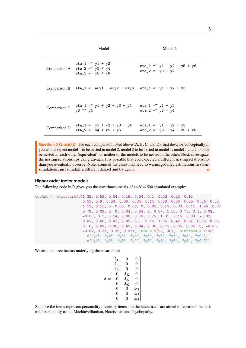|              | Model 1                                                                                                                                                 | Model 2                                                            |
|--------------|---------------------------------------------------------------------------------------------------------------------------------------------------------|--------------------------------------------------------------------|
|              | $eta_1 = \gamma y_1 + y_2$<br>Comparison A $eta_2 = \gamma$ y3 + y4<br>$eta_3 = \gamma y_5 + y_6$                                                       | $eta_1 = \gamma y_1 + y_2 + y_5 + y_6$<br>$eta_2 = \gamma y3 + y4$ |
|              | Comparison B eta_1 = $\infty$ a*y1 + a*y2 + a*y3 eta_1 = $\infty$ y1 + y2 + y3                                                                          |                                                                    |
|              | Comparison C $\begin{array}{ccc} \text{eta}_1 = \tilde{ } & \text{ y1 + y2 + y3 + y4} \\ & \text{ y3 - y4} \end{array}$ eta_1 = v1 + y2 eta_2 = v3 + v4 |                                                                    |
| Comparison D | eta_1 = $\degree$ y1 + y2 + y3 + y4 eta_1 = $\degree$ y1 + y2 + y3<br>$eta_2 = \gamma q_4 + \gamma 5 + \gamma 6$                                        | $eta_2 = \gamma y3 + y4 + y5 + y6$                                 |

Question 3 (2 points) For each comparison listed above (A, B, C, and D), first describe conceptually if you would expect model 1 to be nested in model 2, model 2 to be nested in model 1, model 1 and 2 to both be nested in each-other (equivalent), or neither of the models to be nested in the other. Next, investigate the nesting relationships using Lavaan. It is possible that you expected a different nesting relationship than you eventually observe. Note: some of the cases may lead to warnings/failed estimations in some simulations, just simulate a different dataset and try again.

#### Higher order factor models

The following code in R gives you the covariance matrix of an  $N = 500$  simulated example:

covMat <- structure(c(1.32, 0.53, 0.54, 0.16, 0.04, 0.1, 0.02, 0.03, 0.15, 0.53, 0.9, 0.53, 0.08, 0.04, 0.14, 0.08, 0.06, 0.05, 0.54, 0.53, 1.19, 0.11, 0, 0.08, 0.03, 0, 0.05, 0.16, 0.08, 0.11, 1.96, 0.87, 0.79, 0.09, 0, 0, 0.04, 0.04, 0, 0.87, 1.38, 0.75, 0.1, 0.02, -0.03, 0.1, 0.14, 0.08, 0.79, 0.75, 1.31, 0.15, 0.08, -0.02, 0.02, 0.08, 0.03, 0.09, 0.1, 0.15, 1.06, 0.42, 0.37, 0.03, 0.06, 0, 0, 0.02, 0.08, 0.42, 0.94, 0.36, 0.15, 0.05, 0.05, 0, -0.03, -0.02, 0.37, 0.36, 0.97), .Dim = c(9L, 9L), .Dimnames = list( c("y1", "y2", "y3", "y4", "y5", "y6", "y7", "y8", "y9"), c("y1", "y2", "y3", "y4", "y5", "y6", "y7", "y8", "y9")))

We assume three factors underlying these variables:

```
\Lambda =\sqrt{ }

         \lambda_{11} 0 0
         \lambda_{21} 0 0
         \lambda_{31} 0 0
           0 \lambda_{42} 0
           0 \lambda_{52} 00 \lambda_{62} 00 0 \lambda_{73}0 0 \lambda_{83}0 \t 0 \t \lambda_{93}1
```
Suppose the items represent personality inventory items and the latent traits are aimed to represent the dark triad personality traits: Machiavellianism, Narcissism and Psychopathy.